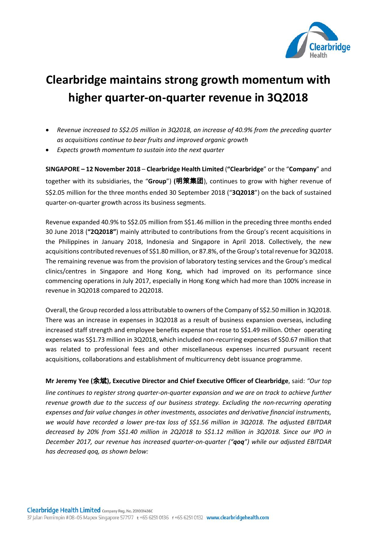

## **Clearbridge maintains strong growth momentum with higher quarter-on-quarter revenue in 3Q2018**

- *Revenue increased to S\$2.05 million in 3Q2018, an increase of 40.9% from the preceding quarter as acquisitions continue to bear fruits and improved organic growth*
- *Expects growth momentum to sustain into the next quarter*

**SINGAPORE – 12 November 2018** – **Clearbridge Health Limited** (**"Clearbridge**" or the "**Company**" and together with its subsidiaries, the "**Group**") **(**明策集团), continues to grow with higher revenue of S\$2.05 million for the three months ended 30 September 2018 ("**3Q2018**") on the back of sustained quarter-on-quarter growth across its business segments.

Revenue expanded 40.9% to S\$2.05 million from S\$1.46 million in the preceding three months ended 30 June 2018 (**"2Q2018"**) mainly attributed to contributions from the Group's recent acquisitions in the Philippines in January 2018, Indonesia and Singapore in April 2018. Collectively, the new acquisitions contributed revenues of S\$1.80 million, or 87.8%, of the Group's total revenue for 3Q2018. The remaining revenue was from the provision of laboratory testing services and the Group's medical clinics/centres in Singapore and Hong Kong, which had improved on its performance since commencing operations in July 2017, especially in Hong Kong which had more than 100% increase in revenue in 3Q2018 compared to 2Q2018.

Overall, the Group recorded a loss attributable to owners of the Company of S\$2.50 million in 3Q2018. There was an increase in expenses in 3Q2018 as a result of business expansion overseas, including increased staff strength and employee benefits expense that rose to S\$1.49 million. Other operating expenses was S\$1.73 million in 3Q2018, which included non-recurring expenses of S\$0.67 million that was related to professional fees and other miscellaneous expenses incurred pursuant recent acquisitions, collaborations and establishment of multicurrency debt issuance programme.

**Mr Jeremy Yee (**余斌**), Executive Director and Chief Executive Officer of Clearbridge**, said: *"Our top line continues to register strong quarter-on-quarter expansion and we are on track to achieve further revenue growth due to the success of our business strategy. Excluding the non-recurring operating expenses and fair value changes in other investments, associates and derivative financial instruments, we would have recorded a lower pre-tax loss of S\$1.56 million in 3Q2018. The adjusted EBITDAR decreased by 20% from S\$1.40 million in 2Q2018 to S\$1.12 million in 3Q2018. Since our IPO in December 2017, our revenue has increased quarter-on-quarter ("qoq") while our adjusted EBITDAR has decreased qoq, as shown below:*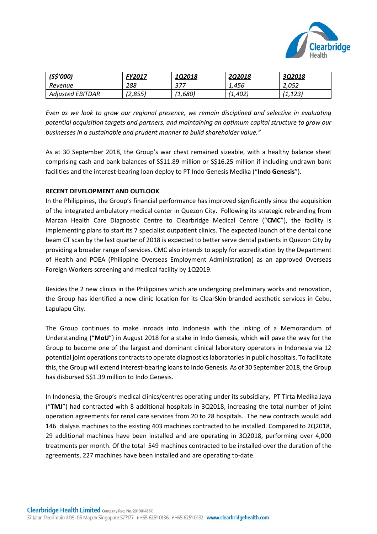

| $(S$^{\prime}000)$      | FY2017  | 102018  | <b>2Q2018</b> | 302018  |
|-------------------------|---------|---------|---------------|---------|
| Revenue                 | 288     | 377     | 1.456         | 2.052   |
| <b>Adjusted EBITDAR</b> | (2,855) | (1,680) | (1,402)       | (1,123) |

*Even as we look to grow our regional presence, we remain disciplined and selective in evaluating potential acquisition targets and partners, and maintaining an optimum capital structure to grow our businesses in a sustainable and prudent manner to build shareholder value."*

As at 30 September 2018, the Group's war chest remained sizeable, with a healthy balance sheet comprising cash and bank balances of S\$11.89 million or S\$16.25 million if including undrawn bank facilities and the interest-bearing loan deploy to PT Indo Genesis Medika ("**Indo Genesis**").

## **RECENT DEVELOPMENT AND OUTLOOK**

In the Philippines, the Group's financial performance has improved significantly since the acquisition of the integrated ambulatory medical center in Quezon City. Following its strategic rebranding from Marzan Health Care Diagnostic Centre to Clearbridge Medical Centre ("**CMC**"), the facility is implementing plans to start its 7 specialist outpatient clinics. The expected launch of the dental cone beam CT scan by the last quarter of 2018 is expected to better serve dental patients in Quezon City by providing a broader range of services. CMC also intends to apply for accreditation by the Department of Health and POEA (Philippine Overseas Employment Administration) as an approved Overseas Foreign Workers screening and medical facility by 1Q2019.

Besides the 2 new clinics in the Philippines which are undergoing preliminary works and renovation, the Group has identified a new clinic location for its ClearSkin branded aesthetic services in Cebu, Lapulapu City.

The Group continues to make inroads into Indonesia with the inking of a Memorandum of Understanding ("**MoU**") in August 2018 for a stake in Indo Genesis, which will pave the way for the Group to become one of the largest and dominant clinical laboratory operators in Indonesia via 12 potential joint operations contracts to operate diagnostics laboratories in public hospitals. To facilitate this, the Group will extend interest-bearing loansto Indo Genesis. As of 30 September 2018, the Group has disbursed S\$1.39 million to Indo Genesis.

In Indonesia, the Group's medical clinics/centres operating under its subsidiary, PT Tirta Medika Jaya ("**TMJ**") had contracted with 8 additional hospitals in 3Q2018, increasing the total number of joint operation agreements for renal care services from 20 to 28 hospitals. The new contracts would add 146 dialysis machines to the existing 403 machines contracted to be installed. Compared to 2Q2018, 29 additional machines have been installed and are operating in 3Q2018, performing over 4,000 treatments per month. Of the total 549 machines contracted to be installed over the duration of the agreements, 227 machines have been installed and are operating to-date.